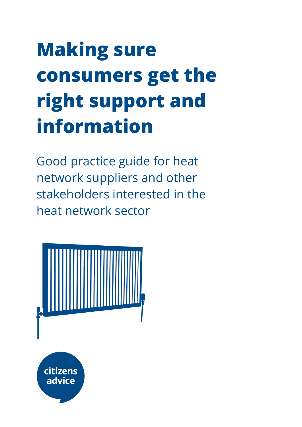# **Making sure consumers get the right support and information**

Good practice guide for heat network suppliers and other stakeholders interested in the heat network sector

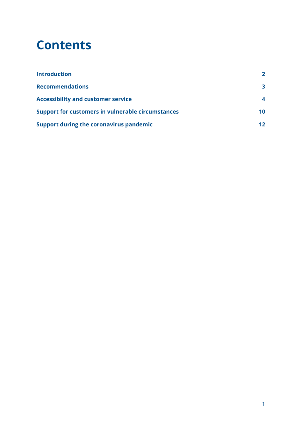### **Contents**

<span id="page-1-0"></span>

| <b>Introduction</b>                                      | $\mathbf{z}$    |
|----------------------------------------------------------|-----------------|
| <b>Recommendations</b>                                   | 3               |
| <b>Accessibility and customer service</b>                |                 |
| <b>Support for customers in vulnerable circumstances</b> | 10              |
| <b>Support during the coronavirus pandemic</b>           | 12 <sub>1</sub> |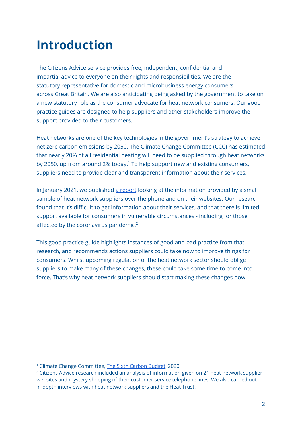# **Introduction**

The Citizens Advice service provides free, independent, confidential and impartial advice to everyone on their rights and responsibilities. We are the statutory representative for domestic and microbusiness energy consumers across Great Britain. We are also anticipating being asked by the government to take on a new statutory role as the consumer advocate for heat network consumers. Our good practice guides are designed to help suppliers and other stakeholders improve the support provided to their customers.

Heat networks are one of the key technologies in the government's strategy to achieve net zero carbon emissions by 2050. The Climate Change Committee (CCC) has estimated that nearly 20% of all residential heating will need to be supplied through heat networks by 2050, up from around 2% today. <sup>1</sup> To help support new and existing consumers, suppliers need to provide clear and transparent information about their services.

In January 2021, we published a [report](https://www.citizensadvice.org.uk/about-us/policy/policy-research-topics/energy-policy-research-and-consultation-responses/energy-policy-research/bringing-heat-networks-up-to-standard-how-heat-networks-can-start-delivering-better-customer-service-outcomes/) looking at the information provided by a small sample of heat network suppliers over the phone and on their websites. Our research found that it's difficult to get information about their services, and that there is limited support available for consumers in vulnerable circumstances - including for those affected by the coronavirus pandemic.<sup>2</sup>

This good practice guide highlights instances of good and bad practice from that research, and recommends actions suppliers could take now to improve things for consumers. Whilst upcoming regulation of the heat network sector should oblige suppliers to make many of these changes, these could take some time to come into force. That's why heat network suppliers should start making these changes now.

<sup>1</sup> Climate Change Committee, The Sixth [Carbon](https://www.theccc.org.uk/publication/sixth-carbon-budget/) Budget, 2020

<sup>&</sup>lt;sup>2</sup> Citizens Advice research included an analysis of information given on 21 heat network supplier websites and mystery shopping of their customer service telephone lines. We also carried out in-depth interviews with heat network suppliers and the Heat Trust.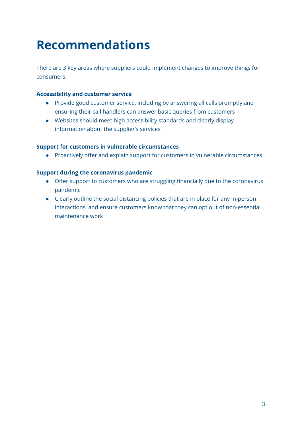# <span id="page-3-0"></span>**Recommendations**

There are 3 key areas where suppliers could implement changes to improve things for consumers.

#### **Accessibility and customer service**

- Provide good customer service, including by answering all calls promptly and ensuring their call handlers can answer basic queries from customers
- Websites should meet high accessibility standards and clearly display information about the supplier's services

#### **Support for customers in vulnerable circumstances**

● Proactively offer and explain support for customers in vulnerable circumstances

#### **Support during the coronavirus pandemic**

- Offer support to customers who are struggling financially due to the coronavirus pandemic
- Clearly outline the social distancing policies that are in place for any in-person interactions, and ensure customers know that they can opt out of non-essential maintenance work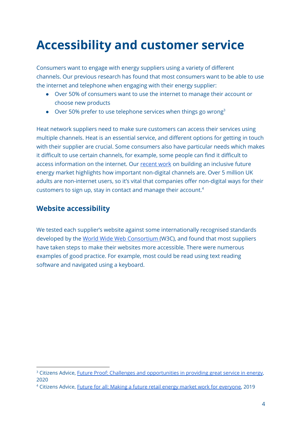# <span id="page-4-0"></span>**Accessibility and customer service**

Consumers want to engage with energy suppliers using a variety of different channels. Our previous research has found that most consumers want to be able to use the internet and telephone when engaging with their energy supplier:

- Over 50% of consumers want to use the internet to manage their account or choose new products
- Over 50% prefer to use telephone services when things go wrong<sup>3</sup>

Heat network suppliers need to make sure customers can access their services using multiple channels. Heat is an essential service, and different options for getting in touch with their supplier are crucial. Some consumers also have particular needs which makes it difficult to use certain channels, for example, some people can find it difficult to access information on the internet. Our [recent](https://www.citizensadvice.org.uk/about-us/our-work/policy/policy-research-topics/energy-policy-research-and-consultation-responses/energy-policy-research/future-for-all-making-a-future-retail-energy-market-work-for-everyone/) work on building an inclusive future energy market highlights how important non-digital channels are. Over 5 million UK adults are non-internet users, so it's vital that companies offer non-digital ways for their customers to sign up, stay in contact and manage their account. 4

### **Website accessibility**

We tested each supplier's website against some internationally recognised standards developed by the World Wide Web [Consortium](https://www.w3.org/Consortium/) (W3C), and found that most suppliers have taken steps to make their websites more accessible. There were numerous examples of good practice. For example, most could be read using text reading software and navigated using a keyboard.

<sup>&</sup>lt;sup>3</sup> Citizens Advice, Future Proof: Challenges and [opportunities](https://www.citizensadvice.org.uk/about-us/our-work/policy/policy-research-topics/energy-policy-research-and-consultation-responses/energy-policy-research/future-proof-challenges-and-opportunities-in-providing-great-service-in-energy/) in providing great service in energy, 2020

<sup>4</sup> Citizens Advice, Future for all: Making a future retail energy market work for [everyone,](https://www.citizensadvice.org.uk/about-us/our-work/policy/policy-research-topics/energy-policy-research-and-consultation-responses/energy-policy-research/future-for-all-making-a-future-retail-energy-market-work-for-everyone/) 2019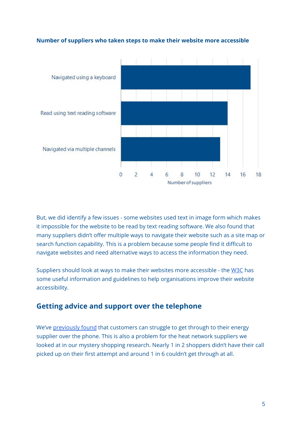

#### **Number of suppliers who taken steps to make their website more accessible**

But, we did identify a few issues - some websites used text in image form which makes it impossible for the website to be read by text reading software. We also found that many suppliers didn't offer multiple ways to navigate their website such as a site map or search function capability. This is a problem because some people find it difficult to navigate websites and need alternative ways to access the information they need.

Suppliers should look at ways to make their websites more accessible - the [W3C](https://www.w3.org/Consortium/) has some useful information and guidelines to help organisations improve their website accessibility.

### **Getting advice and support over the telephone**

We've [previously](https://www.citizensadvice.org.uk/Global/CitizensAdvice/Energy/Energy%20Consultation%20responses/Future%20Proof%20-%20Customer%20Service%20Report.pdf) found that customers can struggle to get through to their energy supplier over the phone. This is also a problem for the heat network suppliers we looked at in our mystery shopping research. Nearly 1 in 2 shoppers didn't have their call picked up on their first attempt and around 1 in 6 couldn't get through at all.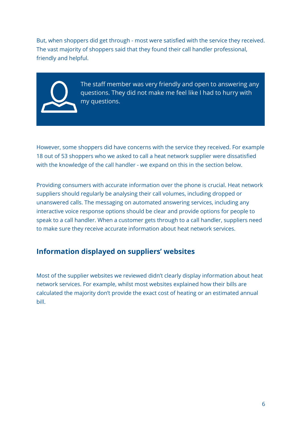But, when shoppers did get through - most were satisfied with the service they received. The vast majority of shoppers said that they found their call handler professional, friendly and helpful.



The staff member was very friendly and open to answering any questions. They did not make me feel like I had to hurry with my questions.

However, some shoppers did have concerns with the service they received. For example 18 out of 53 shoppers who we asked to call a heat network supplier were dissatisfied with the knowledge of the call handler - we expand on this in the section below.

Providing consumers with accurate information over the phone is crucial. Heat network suppliers should regularly be analysing their call volumes, including dropped or unanswered calls. The messaging on automated answering services, including any interactive voice response options should be clear and provide options for people to speak to a call handler. When a customer gets through to a call handler, suppliers need to make sure they receive accurate information about heat network services.

### **Information displayed on suppliers' websites**

Most of the supplier websites we reviewed didn't clearly display information about heat network services. For example, whilst most websites explained how their bills are calculated the majority don't provide the exact cost of heating or an estimated annual bill.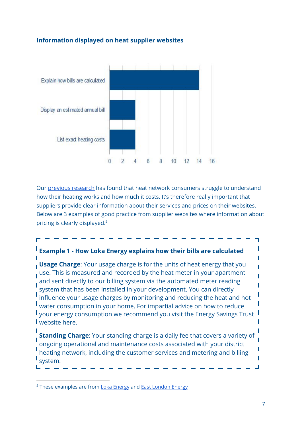#### **Information displayed on heat supplier websites**



Our previous [research](https://www.citizensadvice.org.uk/Global/CitizensAdvice/Energy/Prepayment%20and%20heat%20networks%20-%20learning%20the%20lessons.pdf) has found that heat network consumers struggle to understand how their heating works and how much it costs. It's therefore really important that suppliers provide clear information about their services and prices on their websites. Below are 3 examples of good practice from supplier websites where information about pricing is clearly displayed. 5

### **Example 1 - How Loka Energy explains how their bills are calculated**

**Usage Charge:** Your usage charge is for the units of heat energy that you use. This is measured and recorded by the heat meter in your apartment and sent directly to our billing system via the automated meter reading system that has been installed in your development. You can directly influence your usage charges by monitoring and reducing the heat and hot water consumption in your home. For impartial advice on how to reduce your energy consumption we recommend you visit the Energy Savings Trust **I** website here.

**Standing Charge**: Your standing charge is a daily fee that covers a variety of ongoing operational and maintenance costs associated with your district heating network, including the customer services and metering and billing system.

<sup>&</sup>lt;sup>5</sup> These examples are from Loka [Energy](https://www.lokaenergy.com/) and East [London](https://www.eastlondonenergy.co.uk/) Energy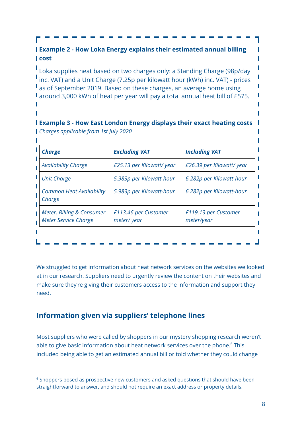**Example 2 - How Loka Energy explains their estimated annual billing l** cost

Loka supplies heat based on two charges only: a Standing Charge (98p/day I inc. VAT) and a Unit Charge (7.25p per kilowatt hour (kWh) inc. VAT) - prices as of September 2019. Based on these charges, an average home using **F** around 3,000 kWh of heat per year will pay a total annual heat bill of £575.

#### **Example 3 - How East London Energy displays their exact heating costs** *Charges applicable from 1st July 2020*

| <b>Charge</b>                                     | <b>Excluding VAT</b>               | <b>Including VAT</b>               |
|---------------------------------------------------|------------------------------------|------------------------------------|
| <b>Availability Charge</b>                        | £25.13 per Kilowatt/ year          | £26.39 per Kilowatt/ year          |
| <b>Unit Charge</b>                                | 5.983p per Kilowatt-hour           | 6.282p per Kilowatt-hour           |
| <b>Common Heat Availability</b><br>Charge         | 5.983p per Kilowatt-hour           | 6.282p per Kilowatt-hour           |
| Meter, Billing & Consumer<br>Meter Service Charge | £113.46 per Customer<br>meter/year | £119.13 per Customer<br>meter/year |
|                                                   |                                    |                                    |

We struggled to get information about heat network services on the websites we looked at in our research. Suppliers need to urgently review the content on their websites and make sure they're giving their customers access to the information and support they need.

### **Information given via suppliers' telephone lines**

Most suppliers who were called by shoppers in our mystery shopping research weren't able to give basic information about heat network services over the phone. <sup>6</sup> This included being able to get an estimated annual bill or told whether they could change

Г

Γ Γ П

<sup>&</sup>lt;sup>6</sup> Shoppers posed as prospective new customers and asked questions that should have been straightforward to answer, and should not require an exact address or property details.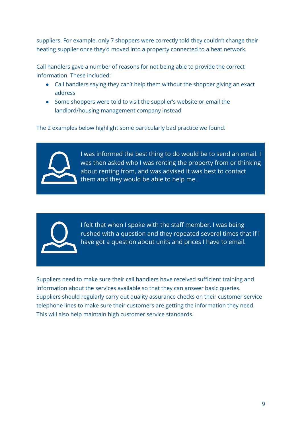suppliers. For example, only 7 shoppers were correctly told they couldn't change their heating supplier once they'd moved into a property connected to a heat network.

Call handlers gave a number of reasons for not being able to provide the correct information. These included:

- Call handlers saying they can't help them without the shopper giving an exact address
- Some shoppers were told to visit the supplier's website or email the landlord/housing management company instead

The 2 examples below highlight some particularly bad practice we found.



I was informed the best thing to do would be to send an email. I was then asked who I was renting the property from or thinking about renting from, and was advised it was best to contact them and they would be able to help me.



I felt that when I spoke with the staff member, I was being rushed with a question and they repeated several times that if I have got a question about units and prices I have to email.

Suppliers need to make sure their call handlers have received sufficient training and information about the services available so that they can answer basic queries. Suppliers should regularly carry out quality assurance checks on their customer service telephone lines to make sure their customers are getting the information they need. This will also help maintain high customer service standards.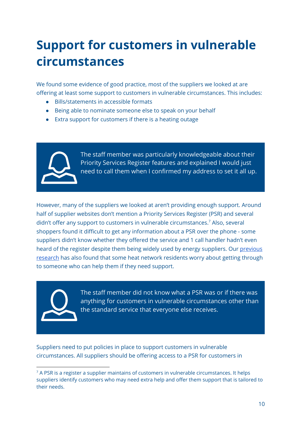# <span id="page-10-0"></span>**Support for customers in vulnerable circumstances**

We found some evidence of good practice, most of the suppliers we looked at are offering at least some support to customers in vulnerable circumstances. This includes:

- Bills/statements in accessible formats
- Being able to nominate someone else to speak on your behalf
- Extra support for customers if there is a heating outage



The staff member was particularly knowledgeable about their Priority Services Register features and explained I would just need to call them when I confirmed my address to set it all up.

However, many of the suppliers we looked at aren't providing enough support. Around half of supplier websites don't mention a Priority Services Register (PSR) and several didn't offer any support to customers in vulnerable circumstances. <sup>7</sup> Also, several shoppers found it difficult to get any information about a PSR over the phone - some suppliers didn't know whether they offered the service and 1 call handler hadn't even heard of the register despite them being widely used by energy suppliers. Our [previous](https://www.citizensadvice.org.uk/Global/CitizensAdvice/Energy/Energy%20Consultation%20responses/Citizens%20Advice%20Heat%20Networks%20V2.0%20(2).pdf) [research](https://www.citizensadvice.org.uk/Global/CitizensAdvice/Energy/Energy%20Consultation%20responses/Citizens%20Advice%20Heat%20Networks%20V2.0%20(2).pdf) has also found that some heat network residents worry about getting through to someone who can help them if they need support.



The staff member did not know what a PSR was or if there was anything for customers in vulnerable circumstances other than the standard service that everyone else receives.

Suppliers need to put policies in place to support customers in vulnerable circumstances. All suppliers should be offering access to a PSR for customers in

 $7$  A PSR is a register a supplier maintains of customers in vulnerable circumstances. It helps suppliers identify customers who may need extra help and offer them support that is tailored to their needs.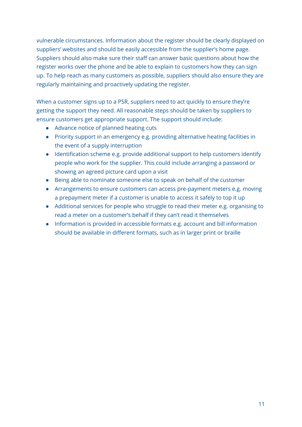vulnerable circumstances. Information about the register should be clearly displayed on suppliers' websites and should be easily accessible from the supplier's home page. Suppliers should also make sure their staff can answer basic questions about how the register works over the phone and be able to explain to customers how they can sign up. To help reach as many customers as possible, suppliers should also ensure they are regularly maintaining and proactively updating the register.

When a customer signs up to a PSR, suppliers need to act quickly to ensure they're getting the support they need. All reasonable steps should be taken by suppliers to ensure customers get appropriate support. The support should include:

- Advance notice of planned heating cuts
- Priority support in an emergency e.g. providing alternative heating facilities in the event of a supply interruption
- Identification scheme e.g. provide additional support to help customers identify people who work for the supplier. This could include arranging a password or showing an agreed picture card upon a visit
- Being able to nominate someone else to speak on behalf of the customer
- Arrangements to ensure customers can access pre-payment meters e.g. moving a prepayment meter if a customer is unable to access it safely to top it up
- Additional services for people who struggle to read their meter e.g. organising to read a meter on a customer's behalf if they can't read it themselves
- Information is provided in accessible formats e.g. account and bill information should be available in different formats, such as in larger print or braille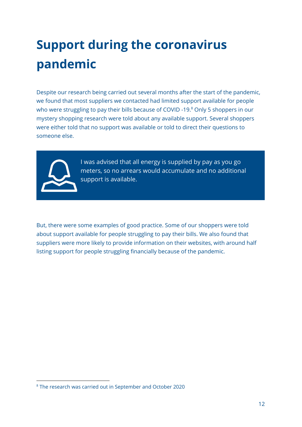# <span id="page-12-0"></span>**Support during the coronavirus pandemic**

Despite our research being carried out several months after the start of the pandemic, we found that most suppliers we contacted had limited support available for people who were struggling to pay their bills because of COVID -19.<sup>8</sup> Only 5 shoppers in our mystery shopping research were told about any available support. Several shoppers were either told that no support was available or told to direct their questions to someone else.



I was advised that all energy is supplied by pay as you go meters, so no arrears would accumulate and no additional support is available.

But, there were some examples of good practice. Some of our shoppers were told about support available for people struggling to pay their bills. We also found that suppliers were more likely to provide information on their websites, with around half listing support for people struggling financially because of the pandemic.

<sup>8</sup> The research was carried out in September and October 2020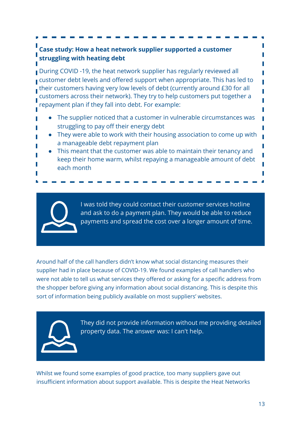### **Case study: How a heat network supplier supported a customer struggling with heating debt**

During COVID -19, the heat network supplier has regularly reviewed all customer debt levels and offered support when appropriate. This has led to their customers having very low levels of debt (currently around £30 for all customers across their network). They try to help customers put together a repayment plan if they fall into debt. For example:

- The supplier noticed that a customer in vulnerable circumstances was struggling to pay off their energy debt
- They were able to work with their housing association to come up with a manageable debt repayment plan
- This meant that the customer was able to maintain their tenancy and keep their home warm, whilst repaying a manageable amount of debt each month

I was told they could contact their customer services hotline and ask to do a payment plan. They would be able to reduce payments and spread the cost over a longer amount of time.

Around half of the call handlers didn't know what social distancing measures their supplier had in place because of COVID-19. We found examples of call handlers who were not able to tell us what services they offered or asking for a specific address from the shopper before giving any information about social distancing. This is despite this sort of information being publicly available on most suppliers' websites.



They did not provide information without me providing detailed property data. The answer was: I can't help.

Whilst we found some examples of good practice, too many suppliers gave out insufficient information about support available. This is despite the Heat Networks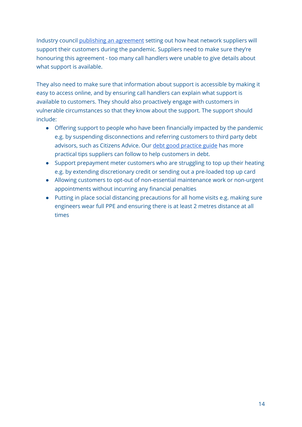Industry council publishing an [agreement](https://www.theade.co.uk/news/press-releases/putting-customersat-the-heart-of-our-pandemic-response-says-heat-networks-i) setting out how heat network suppliers will support their customers during the pandemic. Suppliers need to make sure they're honouring this agreement - too many call handlers were unable to give details about what support is available.

They also need to make sure that information about support is accessible by making it easy to access online, and by ensuring call handlers can explain what support is available to customers. They should also proactively engage with customers in vulnerable circumstances so that they know about the support. The support should include:

- Offering support to people who have been financially impacted by the pandemic e.g. by suspending disconnections and referring customers to third party debt advisors, such as Citizens Advice. Our debt good [practice](https://www.citizensadvice.org.uk/about-us/our-work/policy/policy-research-topics/energy-policy-research-and-consultation-responses/energy-policy-research/good-practice-guide-supporting-people-in-energy-debt/) guide has more practical tips suppliers can follow to help customers in debt.
- Support prepayment meter customers who are struggling to top up their heating e.g. by extending discretionary credit or sending out a pre-loaded top up card
- Allowing customers to opt-out of non-essential maintenance work or non-urgent appointments without incurring any financial penalties
- Putting in place social distancing precautions for all home visits e.g. making sure engineers wear full PPE and ensuring there is at least 2 metres distance at all times